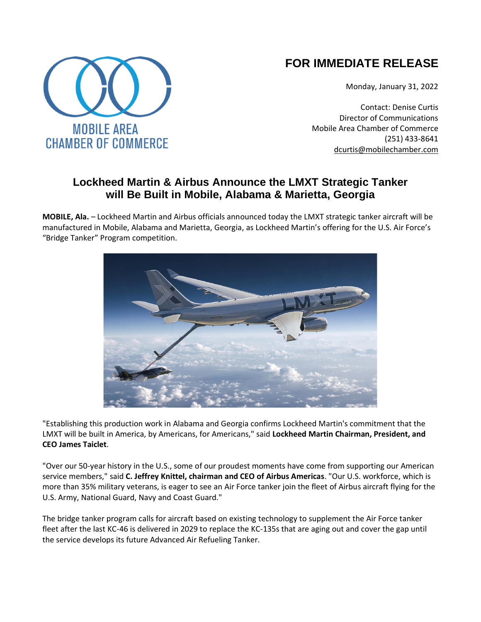## **FOR IMMEDIATE RELEASE**

Monday, January 31, 2022

Contact: Denise Curtis Director of Communications Mobile Area Chamber of Commerce (251) 433-8641 [dcurtis@mobilechamber.com](mailto:dcurtis@mobilechamber.com)

## **Lockheed Martin & Airbus Announce the LMXT Strategic Tanker will Be Built in Mobile, Alabama & Marietta, Georgia**

**MOBILE, Ala.** – Lockheed Martin and Airbus officials announced today the LMXT strategic tanker aircraft will be manufactured in Mobile, Alabama and Marietta, Georgia, as Lockheed Martin's offering for the U.S. Air Force's "Bridge Tanker" Program competition.



"Establishing this production work in Alabama and Georgia confirms Lockheed Martin's commitment that the LMXT will be built in America, by Americans, for Americans," said **Lockheed Martin Chairman, President, and CEO James Taiclet**.

"Over our 50-year history in the U.S., some of our proudest moments have come from supporting our American service members," said **C. Jeffrey Knittel, chairman and CEO of Airbus Americas**. "Our U.S. workforce, which is more than 35% military veterans, is eager to see an Air Force tanker join the fleet of Airbus aircraft flying for the U.S. Army, National Guard, Navy and Coast Guard."

The bridge tanker program calls for aircraft based on existing technology to supplement the Air Force tanker fleet after the last KC-46 is delivered in 2029 to replace the KC-135s that are aging out and cover the gap until the service develops its future Advanced Air Refueling Tanker.

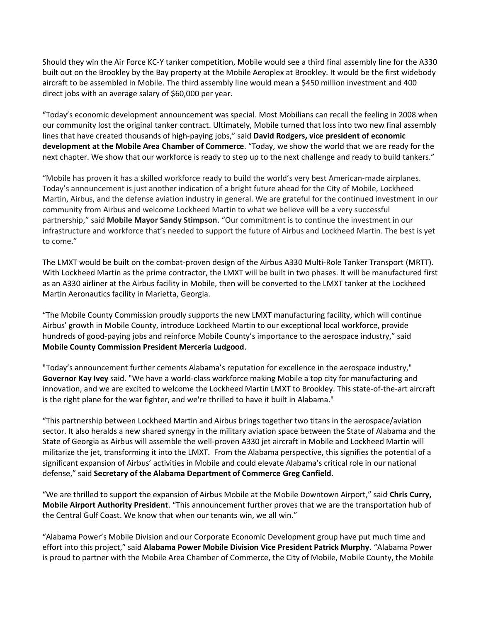Should they win the Air Force KC-Y tanker competition, Mobile would see a third final assembly line for the A330 built out on the Brookley by the Bay property at the Mobile Aeroplex at Brookley. It would be the first widebody aircraft to be assembled in Mobile. The third assembly line would mean a \$450 million investment and 400 direct jobs with an average salary of \$60,000 per year.

"Today's economic development announcement was special. Most Mobilians can recall the feeling in 2008 when our community lost the original tanker contract. Ultimately, Mobile turned that loss into two new final assembly lines that have created thousands of high-paying jobs," said **David Rodgers, vice president of economic development at the Mobile Area Chamber of Commerce**. "Today, we show the world that we are ready for the next chapter. We show that our workforce is ready to step up to the next challenge and ready to build tankers."

"Mobile has proven it has a skilled workforce ready to build the world's very best American-made airplanes. Today's announcement is just another indication of a bright future ahead for the City of Mobile, Lockheed Martin, Airbus, and the defense aviation industry in general. We are grateful for the continued investment in our community from Airbus and welcome Lockheed Martin to what we believe will be a very successful partnership," said **Mobile Mayor Sandy Stimpson**. "Our commitment is to continue the investment in our infrastructure and workforce that's needed to support the future of Airbus and Lockheed Martin. The best is yet to come."

The LMXT would be built on the combat-proven design of the Airbus A330 Multi-Role Tanker Transport (MRTT). With Lockheed Martin as the prime contractor, the LMXT will be built in two phases. It will be manufactured first as an A330 airliner at the Airbus facility in Mobile, then will be converted to the LMXT tanker at the Lockheed Martin Aeronautics facility in Marietta, Georgia.

"The Mobile County Commission proudly supports the new LMXT manufacturing facility, which will continue Airbus' growth in Mobile County, introduce Lockheed Martin to our exceptional local workforce, provide hundreds of good-paying jobs and reinforce Mobile County's importance to the aerospace industry," said **Mobile County Commission President Merceria Ludgood**.

"Today's announcement further cements Alabama's reputation for excellence in the aerospace industry," **Governor Kay Ivey** said. "We have a world-class workforce making Mobile a top city for manufacturing and innovation, and we are excited to welcome the Lockheed Martin LMXT to Brookley. This state-of-the-art aircraft is the right plane for the war fighter, and we're thrilled to have it built in Alabama."

"This partnership between Lockheed Martin and Airbus brings together two titans in the aerospace/aviation sector. It also heralds a new shared synergy in the military aviation space between the State of Alabama and the State of Georgia as Airbus will assemble the well-proven A330 jet aircraft in Mobile and Lockheed Martin will militarize the jet, transforming it into the LMXT. From the Alabama perspective, this signifies the potential of a significant expansion of Airbus' activities in Mobile and could elevate Alabama's critical role in our national defense," said **Secretary of the Alabama Department of Commerce Greg Canfield**.

"We are thrilled to support the expansion of Airbus Mobile at the Mobile Downtown Airport," said **Chris Curry, Mobile Airport Authority President**. "This announcement further proves that we are the transportation hub of the Central Gulf Coast. We know that when our tenants win, we all win."

"Alabama Power's Mobile Division and our Corporate Economic Development group have put much time and effort into this project," said **Alabama Power Mobile Division Vice President Patrick Murphy**. "Alabama Power is proud to partner with the Mobile Area Chamber of Commerce, the City of Mobile, Mobile County, the Mobile